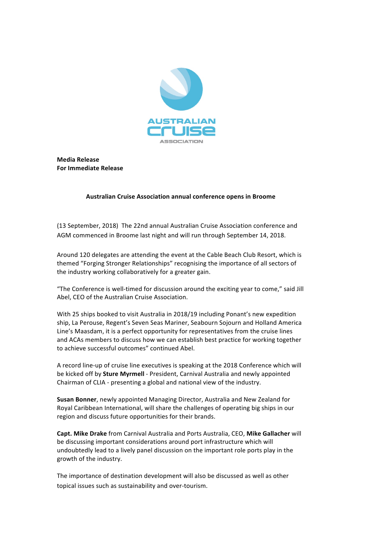

**Media Release For Immediate Release**

## **Australian Cruise Association annual conference opens in Broome**

(13 September, 2018) The 22nd annual Australian Cruise Association conference and AGM commenced in Broome last night and will run through September 14, 2018.

Around 120 delegates are attending the event at the Cable Beach Club Resort, which is themed "Forging Stronger Relationships" recognising the importance of all sectors of the industry working collaboratively for a greater gain.

"The Conference is well-timed for discussion around the exciting year to come," said Jill Abel, CEO of the Australian Cruise Association.

With 25 ships booked to visit Australia in 2018/19 including Ponant's new expedition ship, La Perouse, Regent's Seven Seas Mariner, Seabourn Sojourn and Holland America Line's Maasdam, it is a perfect opportunity for representatives from the cruise lines and ACAs members to discuss how we can establish best practice for working together to achieve successful outcomes" continued Abel.

A record line-up of cruise line executives is speaking at the 2018 Conference which will be kicked off by **Sture Myrmell** - President, Carnival Australia and newly appointed Chairman of CLIA - presenting a global and national view of the industry.

**Susan Bonner**, newly appointed Managing Director, Australia and New Zealand for Royal Caribbean International, will share the challenges of operating big ships in our region and discuss future opportunities for their brands.

**Capt. Mike Drake** from Carnival Australia and Ports Australia, CEO, Mike Gallacher will be discussing important considerations around port infrastructure which will undoubtedly lead to a lively panel discussion on the important role ports play in the growth of the industry.

The importance of destination development will also be discussed as well as other topical issues such as sustainability and over-tourism.